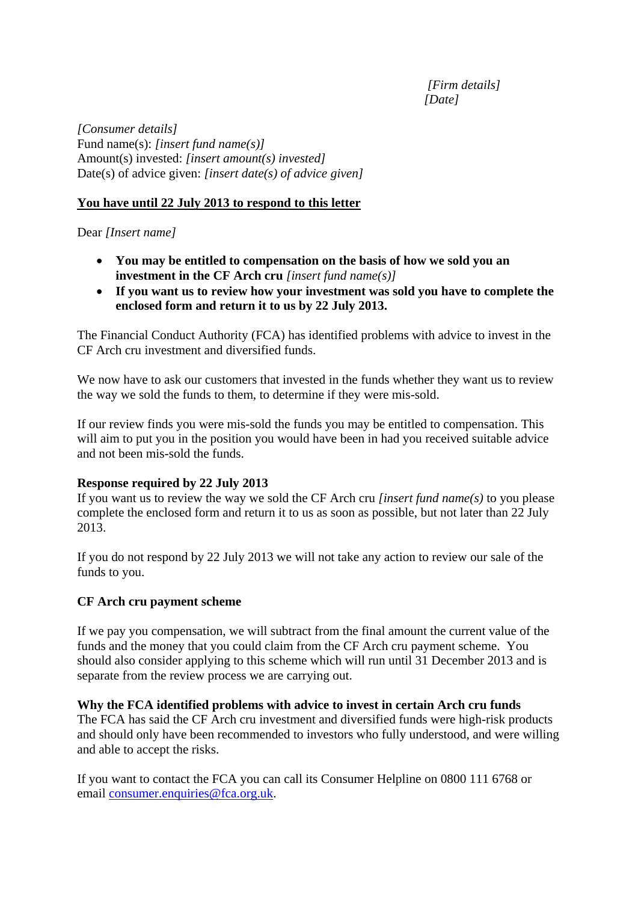*[Firm details] [Date]* 

*[Consumer details]*  Fund name(s): *[insert fund name(s)]*  Amount(s) invested: *[insert amount(s) invested]*  Date(s) of advice given: *[insert date(s) of advice given]* 

## **You have until 22 July 2013 to respond to this letter**

Dear *[Insert name]* 

- **You may be entitled to compensation on the basis of how we sold you an investment in the CF Arch cru** *[insert fund name(s)]*
- **If you want us to review how your investment was sold you have to complete the enclosed form and return it to us by 22 July 2013.**

The Financial Conduct Authority (FCA) has identified problems with advice to invest in the CF Arch cru investment and diversified funds.

We now have to ask our customers that invested in the funds whether they want us to review the way we sold the funds to them, to determine if they were mis-sold.

If our review finds you were mis-sold the funds you may be entitled to compensation. This will aim to put you in the position you would have been in had you received suitable advice and not been mis-sold the funds.

## **Response required by 22 July 2013**

If you want us to review the way we sold the CF Arch cru *[insert fund name(s)* to you please complete the enclosed form and return it to us as soon as possible, but not later than 22 July 2013.

If you do not respond by 22 July 2013 we will not take any action to review our sale of the funds to you.

## **CF Arch cru payment scheme**

If we pay you compensation, we will subtract from the final amount the current value of the funds and the money that you could claim from the CF Arch cru payment scheme. You should also consider applying to this scheme which will run until 31 December 2013 and is separate from the review process we are carrying out.

## **Why the FCA identified problems with advice to invest in certain Arch cru funds**

The FCA has said the CF Arch cru investment and diversified funds were high-risk products and should only have been recommended to investors who fully understood, and were willing and able to accept the risks.

If you want to contact the FCA you can call its Consumer Helpline on 0800 111 6768 or email consumer.enquiries@fca.org.uk.